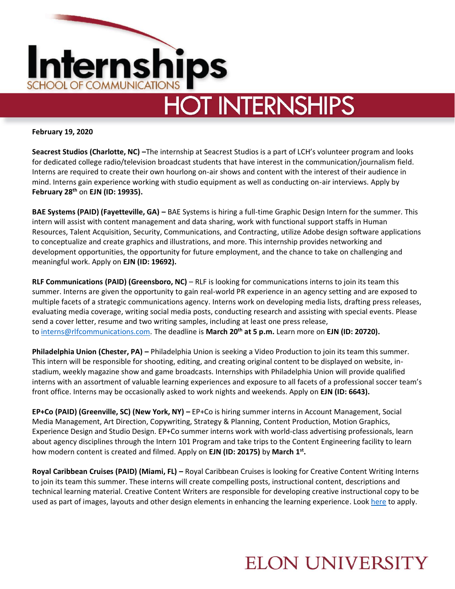

**February 19, 2020**

**Seacrest Studios (Charlotte, NC) –**The internship at Seacrest Studios is a part of LCH's volunteer program and looks for dedicated college radio/television broadcast students that have interest in the communication/journalism field. Interns are required to create their own hourlong on-air shows and content with the interest of their audience in mind. Interns gain experience working with studio equipment as well as conducting on-air interviews. Apply by **February 28th** on **EJN (ID: 19935).** 

**BAE Systems (PAID) (Fayetteville, GA) –** BAE Systems is hiring a full-time Graphic Design Intern for the summer. This intern will assist with content management and data sharing, work with functional support staffs in Human Resources, Talent Acquisition, Security, Communications, and Contracting, utilize Adobe design software applications to conceptualize and create graphics and illustrations, and more. This internship provides networking and development opportunities, the opportunity for future employment, and the chance to take on challenging and meaningful work. Apply on **EJN (ID: 19692).**

**RLF Communications (PAID) (Greensboro, NC)** – RLF is looking for communications interns to join its team this summer. Interns are given the opportunity to gain real-world PR experience in an agency setting and are exposed to multiple facets of a strategic communications agency. Interns work on developing media lists, drafting press releases, evaluating media coverage, writing social media posts, conducting research and assisting with special events. Please send a cover letter, resume and two writing samples, including at least one press release, to [interns@rlfcommunications.com.](mailto:interns@rlfcommunications.com) The deadline is **March 20th at 5 p.m.** Learn more on **EJN (ID: 20720).**

**Philadelphia Union (Chester, PA) –** Philadelphia Union is seeking a Video Production to join its team this summer. This intern will be responsible for shooting, editing, and creating original content to be displayed on website, instadium, weekly magazine show and game broadcasts. Internships with Philadelphia Union will provide qualified interns with an assortment of valuable learning experiences and exposure to all facets of a professional soccer team's front office. Interns may be occasionally asked to work nights and weekends. Apply on **EJN (ID: 6643).**

**EP+Co (PAID) (Greenville, SC) (New York, NY) –** EP+Co is hiring summer interns in Account Management, Social Media Management, Art Direction, Copywriting, Strategy & Planning, Content Production, Motion Graphics, Experience Design and Studio Design. EP+Co summer interns work with world-class advertising professionals, learn about agency disciplines through the Intern 101 Program and take trips to the Content Engineering facility to learn how modern content is created and filmed. Apply on **EJN (ID: 20175)** by **March 1 st .** 

**Royal Caribbean Cruises (PAID) (Miami, FL) –** Royal Caribbean Cruises is looking for Creative Content Writing Interns to join its team this summer. These interns will create compelling posts, instructional content, descriptions and technical learning material. Creative Content Writers are responsible for developing creative instructional copy to be used as part of images, layouts and other design elements in enhancing the learning experience. Look [here](https://jobs.rclcareers.com/en-US/job/2020-creative-content-writing-summer-internship/J3P6X06QYB2BFTD2L45) to apply.

#### **ELON UNIVERSITY**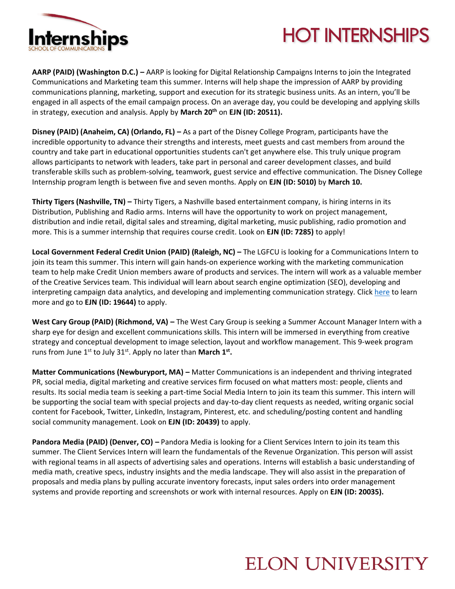

# **HOT INTERNSHIPS**

**AARP (PAID) (Washington D.C.) –** AARP is looking for Digital Relationship Campaigns Interns to join the Integrated Communications and Marketing team this summer. Interns will help shape the impression of AARP by providing communications planning, marketing, support and execution for its strategic business units. As an intern, you'll be engaged in all aspects of the email campaign process. On an average day, you could be developing and applying skills in strategy, execution and analysis. Apply by **March 20th** on **EJN (ID: 20511).** 

**Disney (PAID) (Anaheim, CA) (Orlando, FL) – As a part of the Disney College Program, participants have the** incredible opportunity to advance their strengths and interests, meet guests and cast members from around the country and take part in educational opportunities students can't get anywhere else. This truly unique program allows participants to network with leaders, take part in personal and career development classes, and build transferable skills such as problem-solving, teamwork, guest service and effective communication. The Disney College Internship program length is between five and seven months. Apply on **EJN (ID: 5010)** by **March 10.** 

**Thirty Tigers (Nashville, TN) –** Thirty Tigers, a Nashville based entertainment company, is hiring interns in its Distribution, Publishing and Radio arms. Interns will have the opportunity to work on project management, distribution and indie retail, digital sales and streaming, digital marketing, music publishing, radio promotion and more. This is a summer internship that requires course credit. Look on **EJN (ID: 7285)** to apply!

**Local Government Federal Credit Union (PAID) (Raleigh, NC) –** The LGFCU is looking for a Communications Intern to join its team this summer. This intern will gain hands-on experience working with the marketing communication team to help make Credit Union members aware of products and services. The intern will work as a valuable member of the Creative Services team. This individual will learn about search engine optimization (SEO), developing and interpreting campaign data analytics, and developing and implementing communication strategy. Click [here](https://www.lgfcu.org/about-lgfcu/careers/job-listing) to learn more and go to **EJN (ID: 19644)** to apply.

**West Cary Group (PAID) (Richmond, VA) –** The West Cary Group is seeking a Summer Account Manager Intern with a sharp eye for design and excellent communications skills. This intern will be immersed in everything from creative strategy and conceptual development to image selection, layout and workflow management. This 9-week program runs from June 1<sup>st</sup> to July 31<sup>st</sup>. Apply no later than March 1<sup>st</sup>.

**Matter Communications (Newburyport, MA) –** Matter Communications is an independent and thriving integrated PR, social media, digital marketing and creative services firm focused on what matters most: people, clients and results. Its social media team is seeking a part-time Social Media Intern to join its team this summer. This intern will be supporting the social team with special projects and day-to-day client requests as needed, writing organic social content for Facebook, Twitter, LinkedIn, Instagram, Pinterest, etc. and scheduling/posting content and handling social community management. Look on **EJN (ID: 20439)** to apply.

**Pandora Media (PAID) (Denver, CO) –** Pandora Media is looking for a Client Services Intern to join its team this summer. The Client Services Intern will learn the fundamentals of the Revenue Organization. This person will assist with regional teams in all aspects of advertising sales and operations. Interns will establish a basic understanding of media math, creative specs, industry insights and the media landscape. They will also assist in the preparation of proposals and media plans by pulling accurate inventory forecasts, input sales orders into order management systems and provide reporting and screenshots or work with internal resources. Apply on **EJN (ID: 20035).**

# **ELON UNIVERSITY**